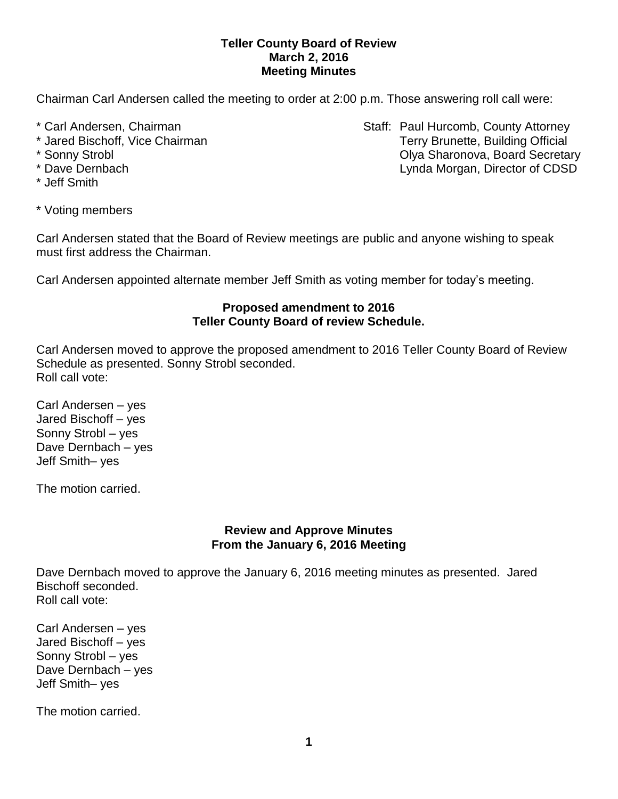### **Teller County Board of Review March 2, 2016 Meeting Minutes**

Chairman Carl Andersen called the meeting to order at 2:00 p.m. Those answering roll call were:

- 
- 
- 
- 
- \* Jeff Smith
- \* Carl Andersen, Chairman Staff: Paul Hurcomb, County Attorney \* Jared Bischoff, Vice Chairman Terry Brunette, Building Official \* Sonny Strobl Olya Sharonova, Board Secretary \* Dave Dernbach Lynda Morgan, Director of CDSD
- \* Voting members

Carl Andersen stated that the Board of Review meetings are public and anyone wishing to speak must first address the Chairman.

Carl Andersen appointed alternate member Jeff Smith as voting member for today's meeting.

## **Proposed amendment to 2016 Teller County Board of review Schedule.**

Carl Andersen moved to approve the proposed amendment to 2016 Teller County Board of Review Schedule as presented. Sonny Strobl seconded. Roll call vote:

Carl Andersen – yes Jared Bischoff – yes Sonny Strobl – yes Dave Dernbach – yes Jeff Smith– yes

The motion carried.

### **Review and Approve Minutes From the January 6, 2016 Meeting**

Dave Dernbach moved to approve the January 6, 2016 meeting minutes as presented. Jared Bischoff seconded. Roll call vote:

Carl Andersen – yes Jared Bischoff – yes Sonny Strobl – yes Dave Dernbach – yes Jeff Smith– yes

The motion carried.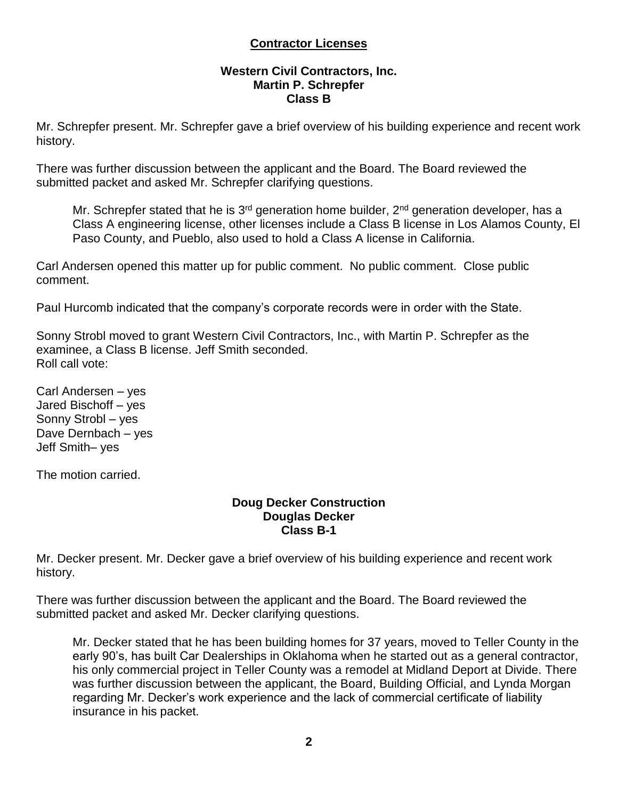# **Contractor Licenses**

#### **Western Civil Contractors, Inc. Martin P. Schrepfer Class B**

Mr. Schrepfer present. Mr. Schrepfer gave a brief overview of his building experience and recent work history.

There was further discussion between the applicant and the Board. The Board reviewed the submitted packet and asked Mr. Schrepfer clarifying questions.

Mr. Schrepfer stated that he is 3<sup>rd</sup> generation home builder, 2<sup>nd</sup> generation developer, has a Class A engineering license, other licenses include a Class B license in Los Alamos County, El Paso County, and Pueblo, also used to hold a Class A license in California.

Carl Andersen opened this matter up for public comment. No public comment. Close public comment.

Paul Hurcomb indicated that the company's corporate records were in order with the State.

Sonny Strobl moved to grant Western Civil Contractors, Inc., with Martin P. Schrepfer as the examinee, a Class B license. Jeff Smith seconded. Roll call vote:

Carl Andersen – yes Jared Bischoff – yes Sonny Strobl – yes Dave Dernbach – yes Jeff Smith– yes

The motion carried.

#### **Doug Decker Construction Douglas Decker Class B-1**

Mr. Decker present. Mr. Decker gave a brief overview of his building experience and recent work history.

There was further discussion between the applicant and the Board. The Board reviewed the submitted packet and asked Mr. Decker clarifying questions.

Mr. Decker stated that he has been building homes for 37 years, moved to Teller County in the early 90's, has built Car Dealerships in Oklahoma when he started out as a general contractor, his only commercial project in Teller County was a remodel at Midland Deport at Divide. There was further discussion between the applicant, the Board, Building Official, and Lynda Morgan regarding Mr. Decker's work experience and the lack of commercial certificate of liability insurance in his packet.